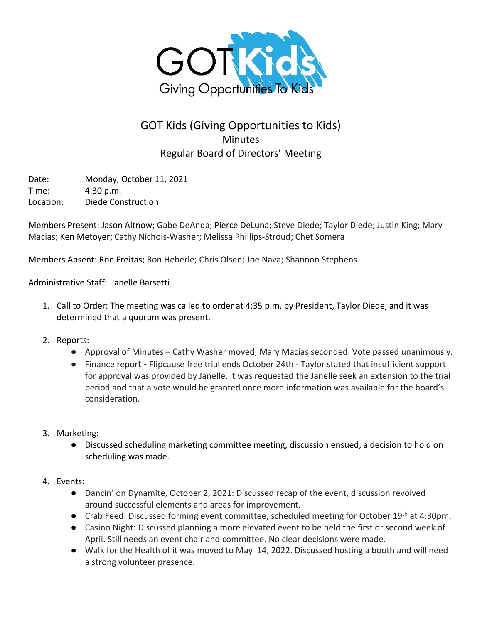

## GOT Kids (Giving Opportunities to Kids) **Minutes** Regular Board of Directors' Meeting

Date: Monday, October 11, 2021 Time: 4:30 p.m. Location: Diede Construction

Members Present: Jason Altnow; Gabe DeAnda; Pierce DeLuna; Steve Diede; Taylor Diede; Justin King; Mary Macias; Ken Metoyer; Cathy Nichols-Washer; Melissa Phillips-Stroud; Chet Somera

Members Absent: Ron Freitas; Ron Heberle; Chris Olsen; Joe Nava; Shannon Stephens

Administrative Staff: Janelle Barsetti

- 1. Call to Order: The meeting was called to order at 4:35 p.m. by President, Taylor Diede, and it was determined that a quorum was present.
- 2. Reports:
	- Approval of Minutes Cathy Washer moved; Mary Macias seconded. Vote passed unanimously.
	- Finance report Flipcause free trial ends October 24th Taylor stated that insufficient support for approval was provided by Janelle. It was requested the Janelle seek an extension to the trial period and that a vote would be granted once more information was available for the board's consideration.
- 3. Marketing:
	- Discussed scheduling marketing committee meeting, discussion ensued, a decision to hold on scheduling was made.
- 4. Events:
	- Dancin' on Dynamite, October 2, 2021: Discussed recap of the event, discussion revolved around successful elements and areas for improvement.
	- Crab Feed: Discussed forming event committee, scheduled meeting for October 19<sup>th</sup> at 4:30pm.
	- Casino Night: Discussed planning a more elevated event to be held the first or second week of April. Still needs an event chair and committee. No clear decisions were made.
	- Walk for the Health of it was moved to May 14, 2022. Discussed hosting a booth and will need a strong volunteer presence.